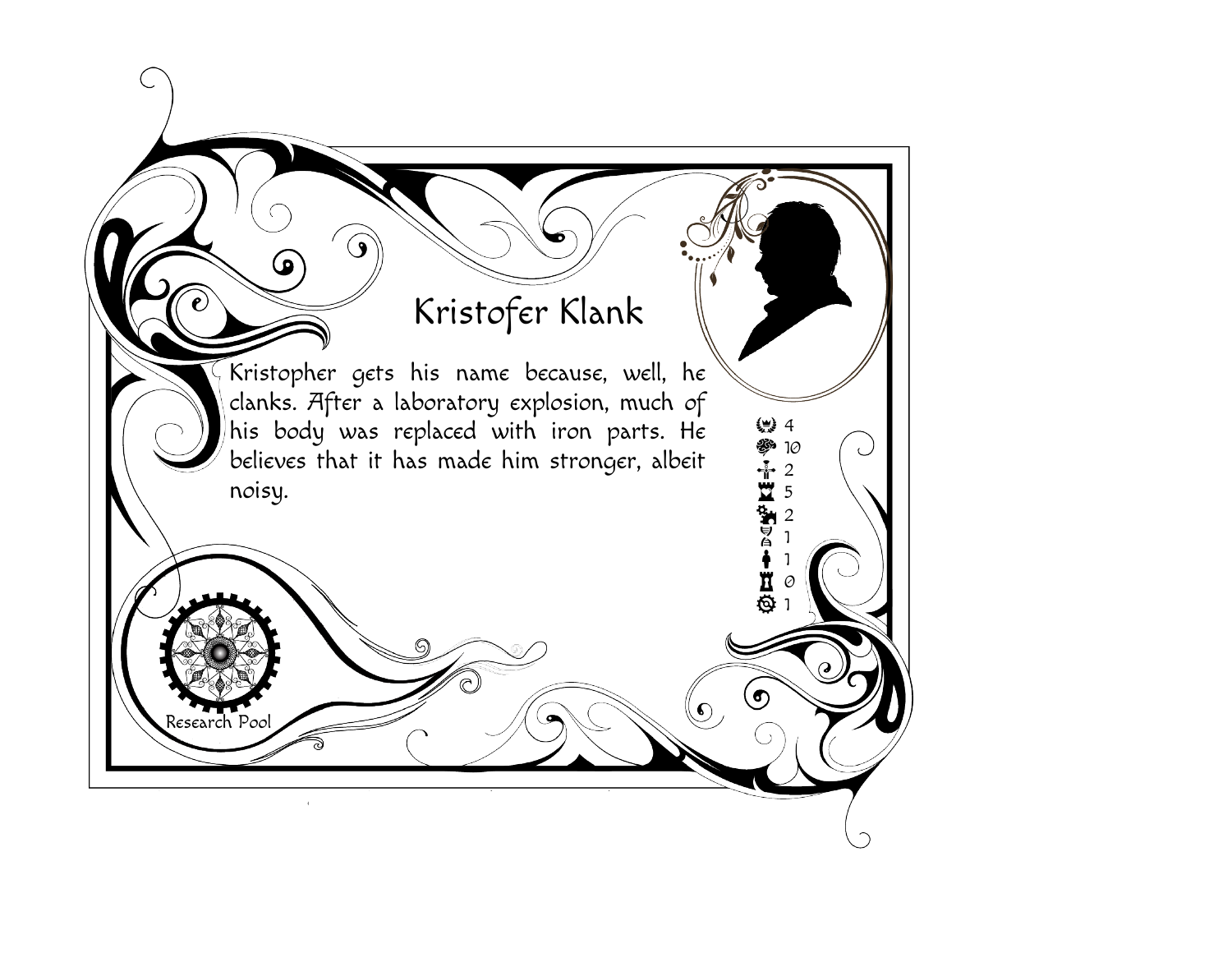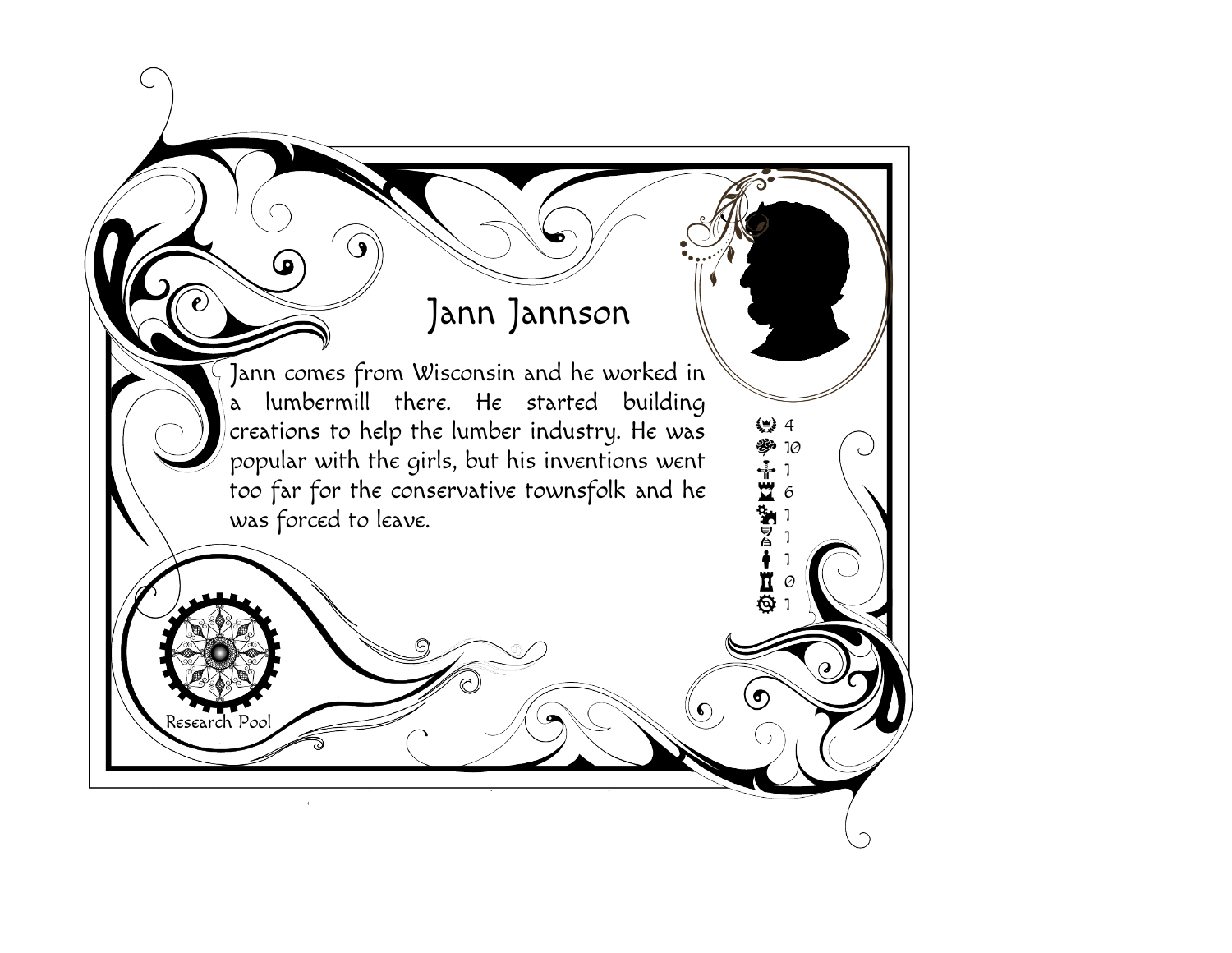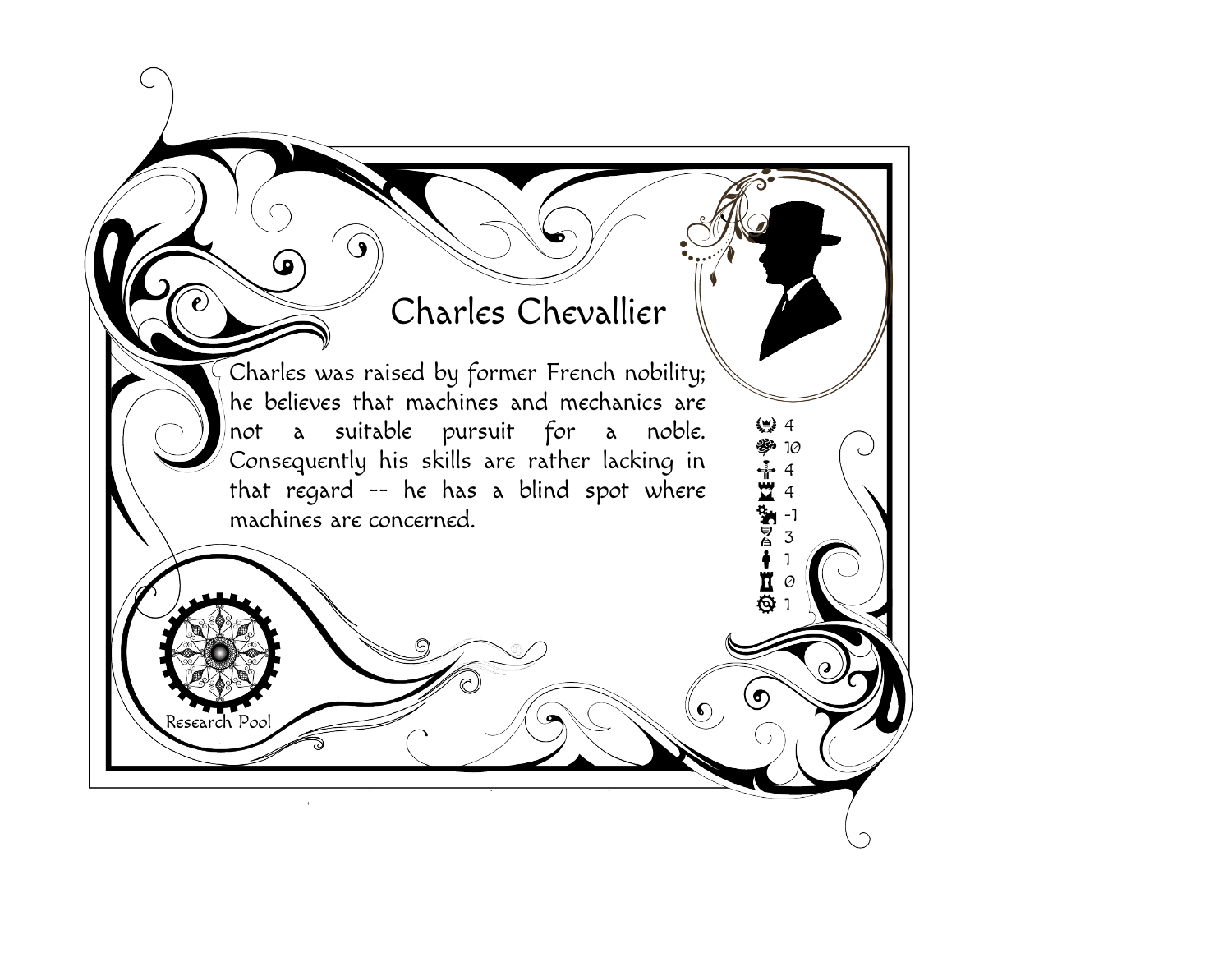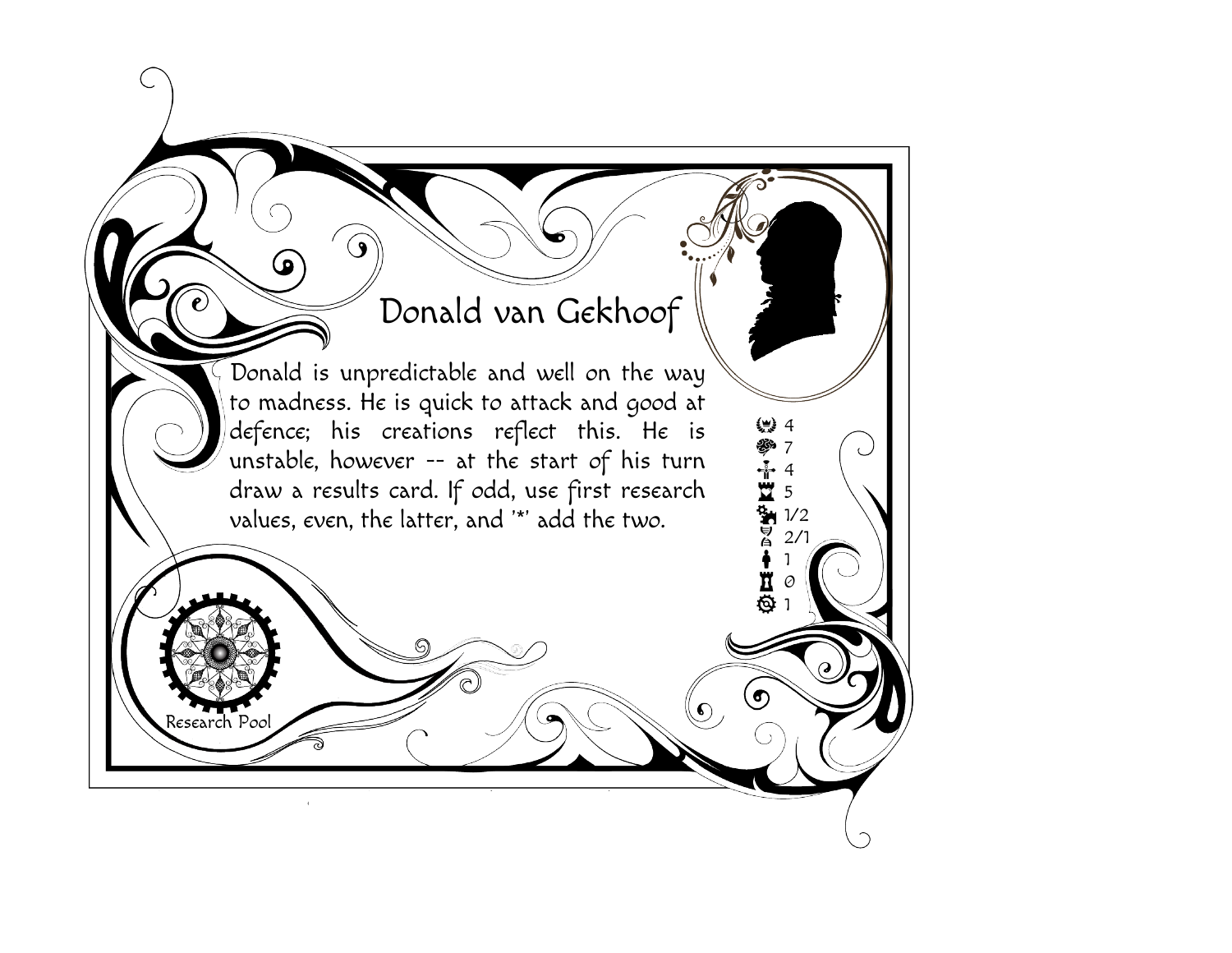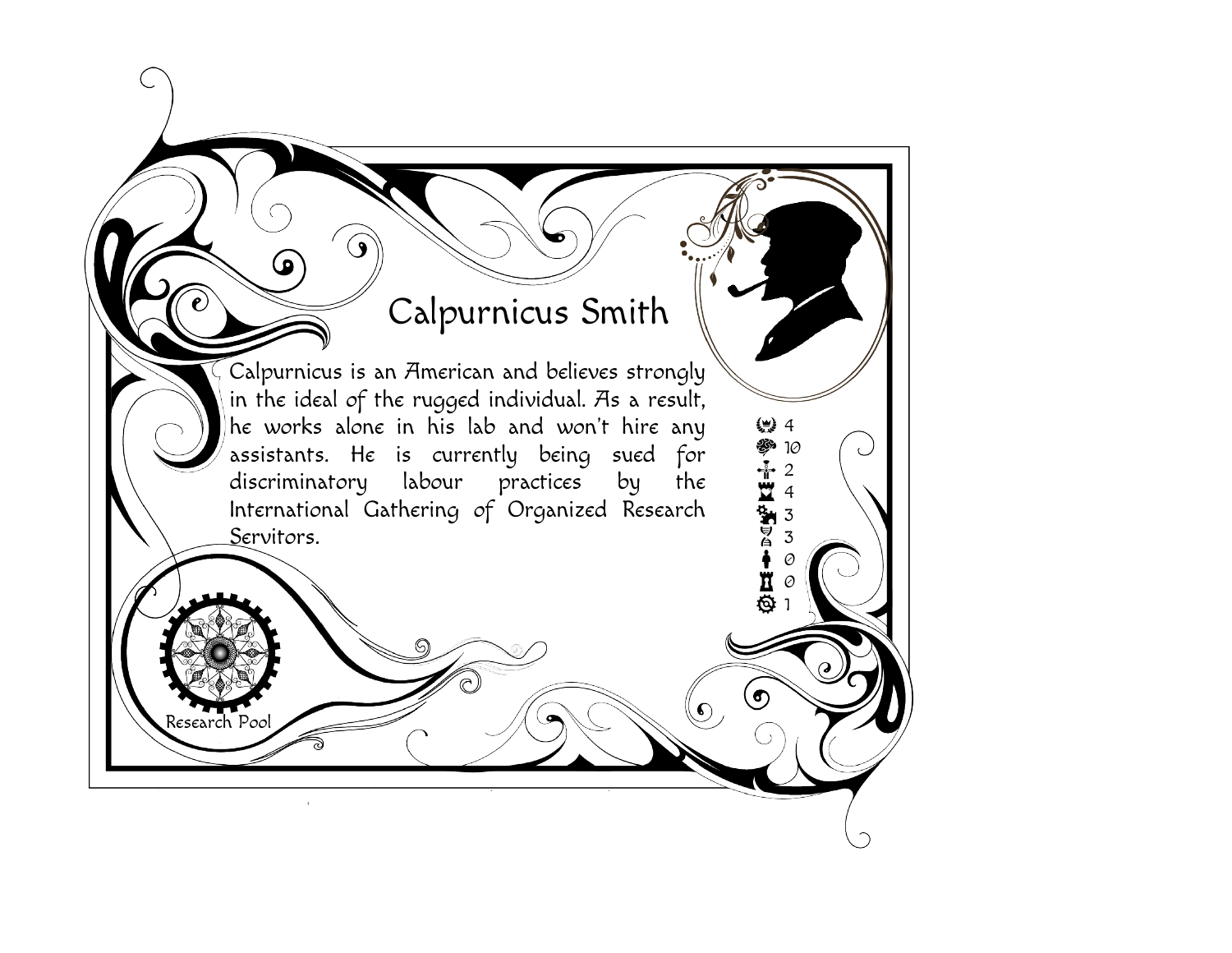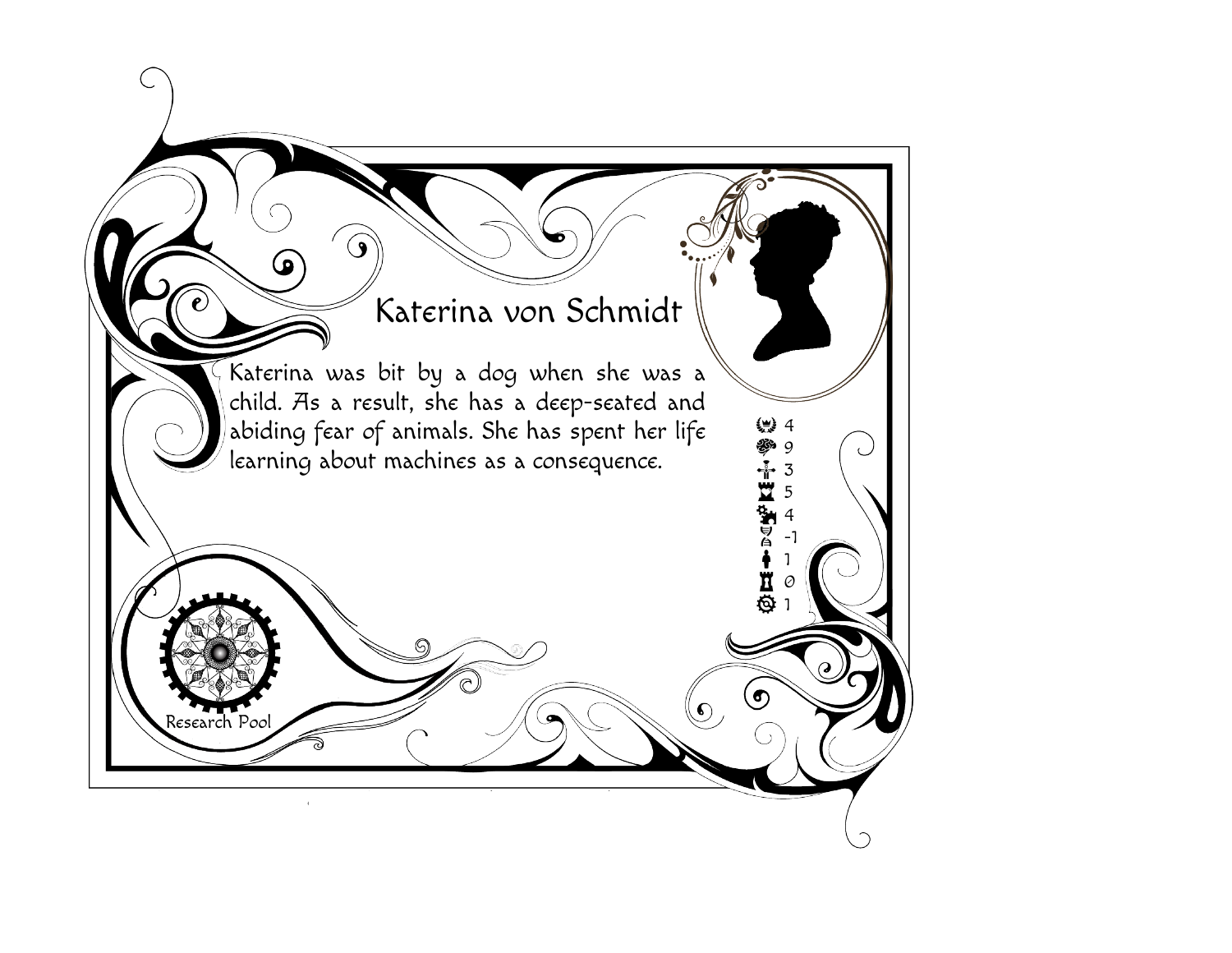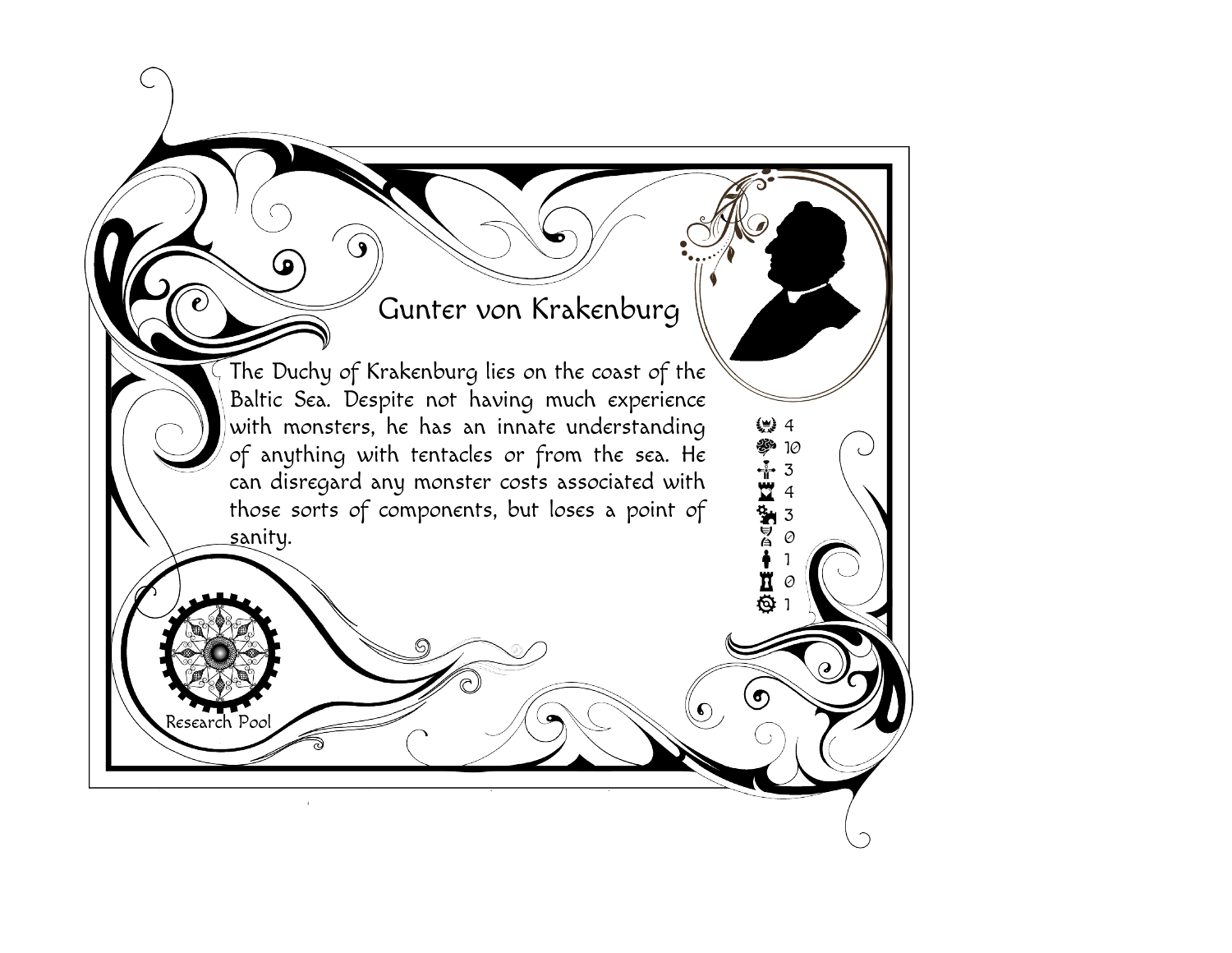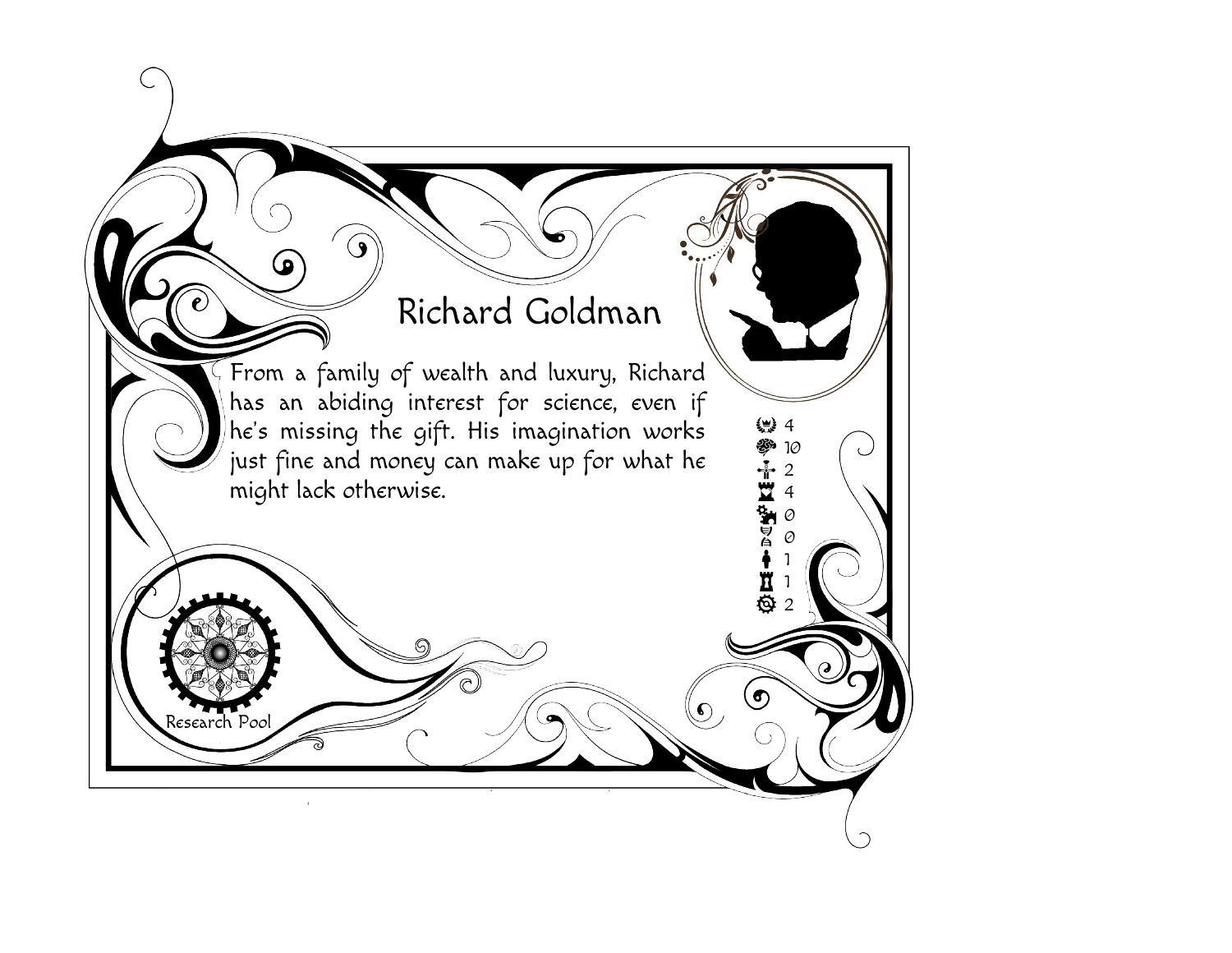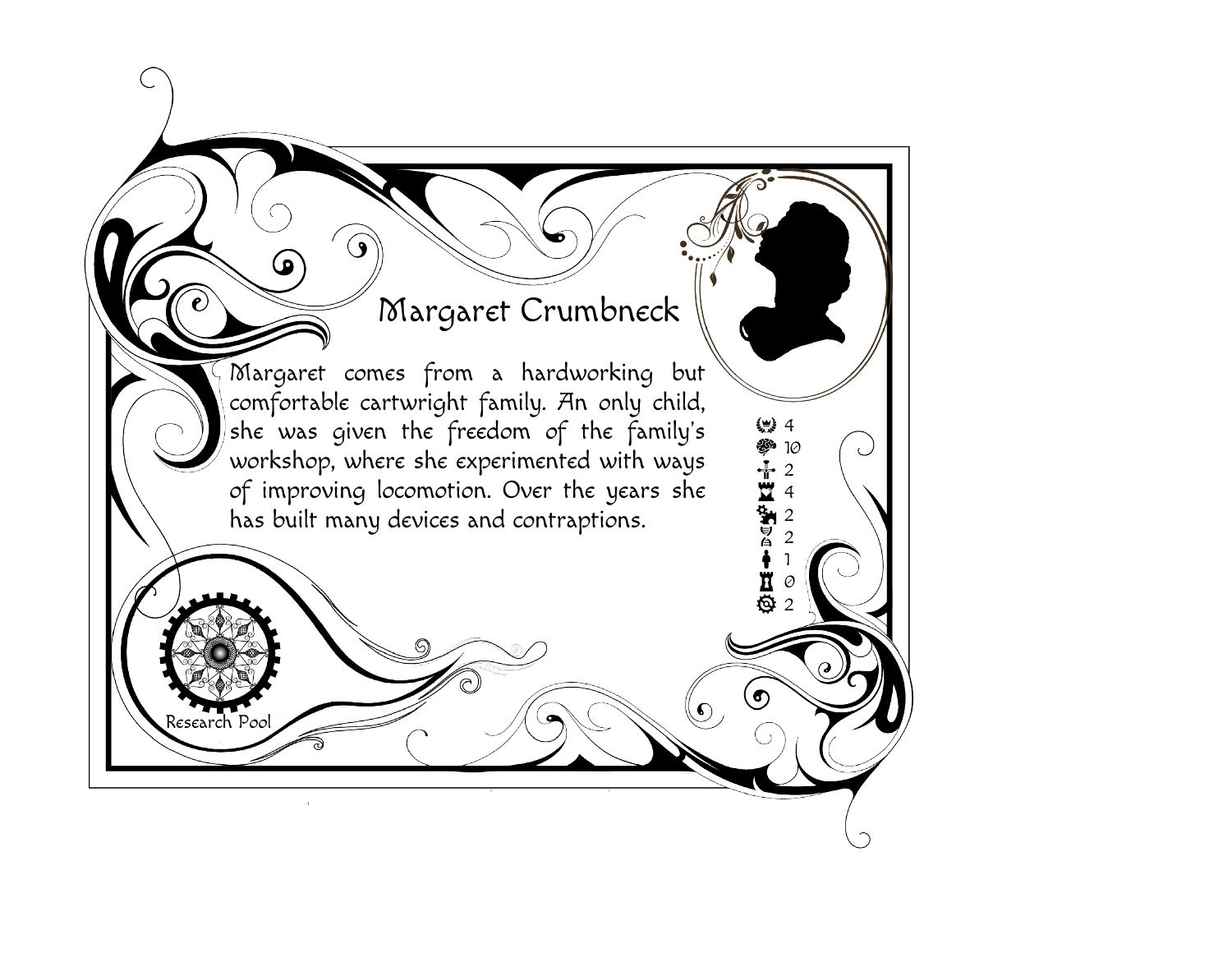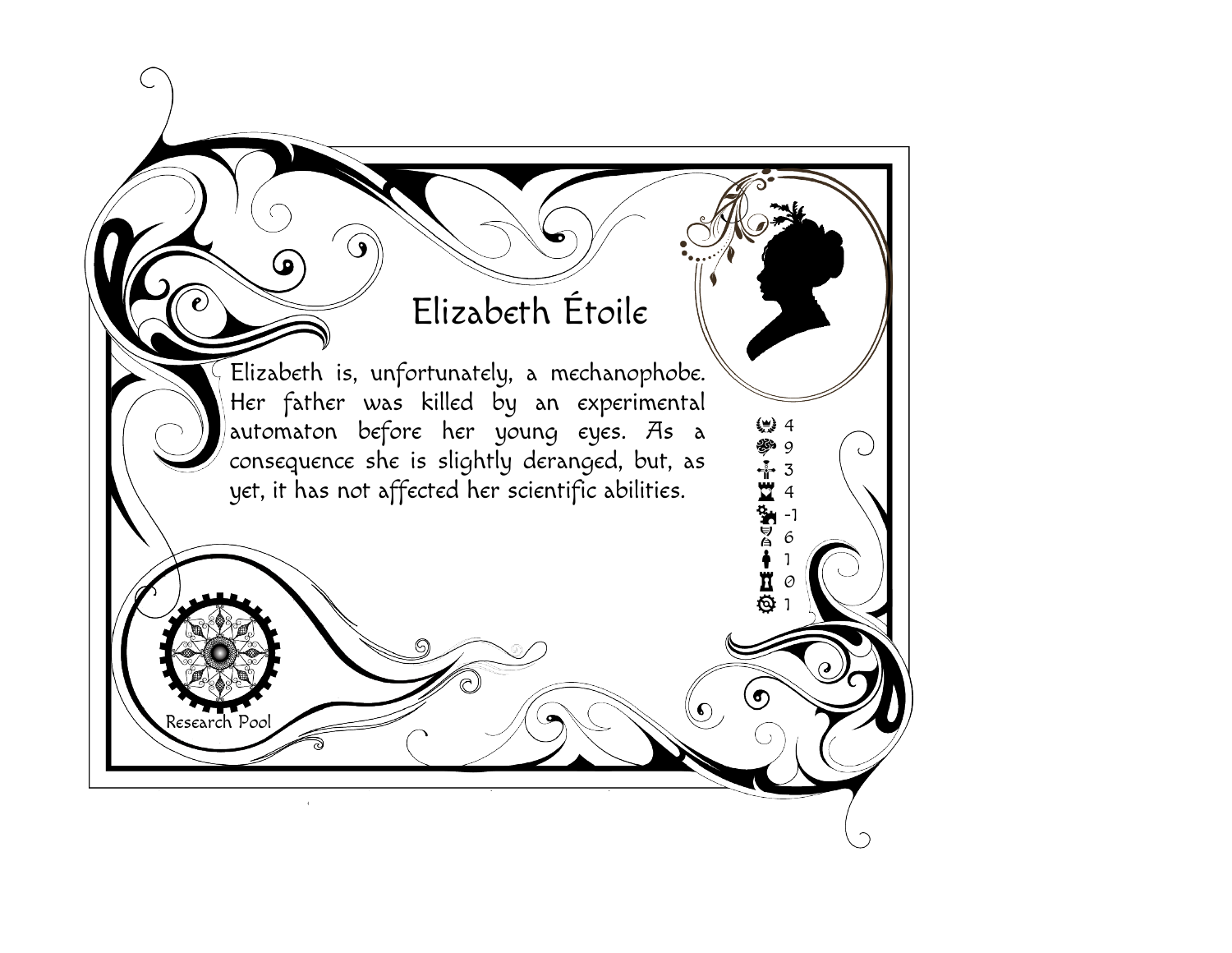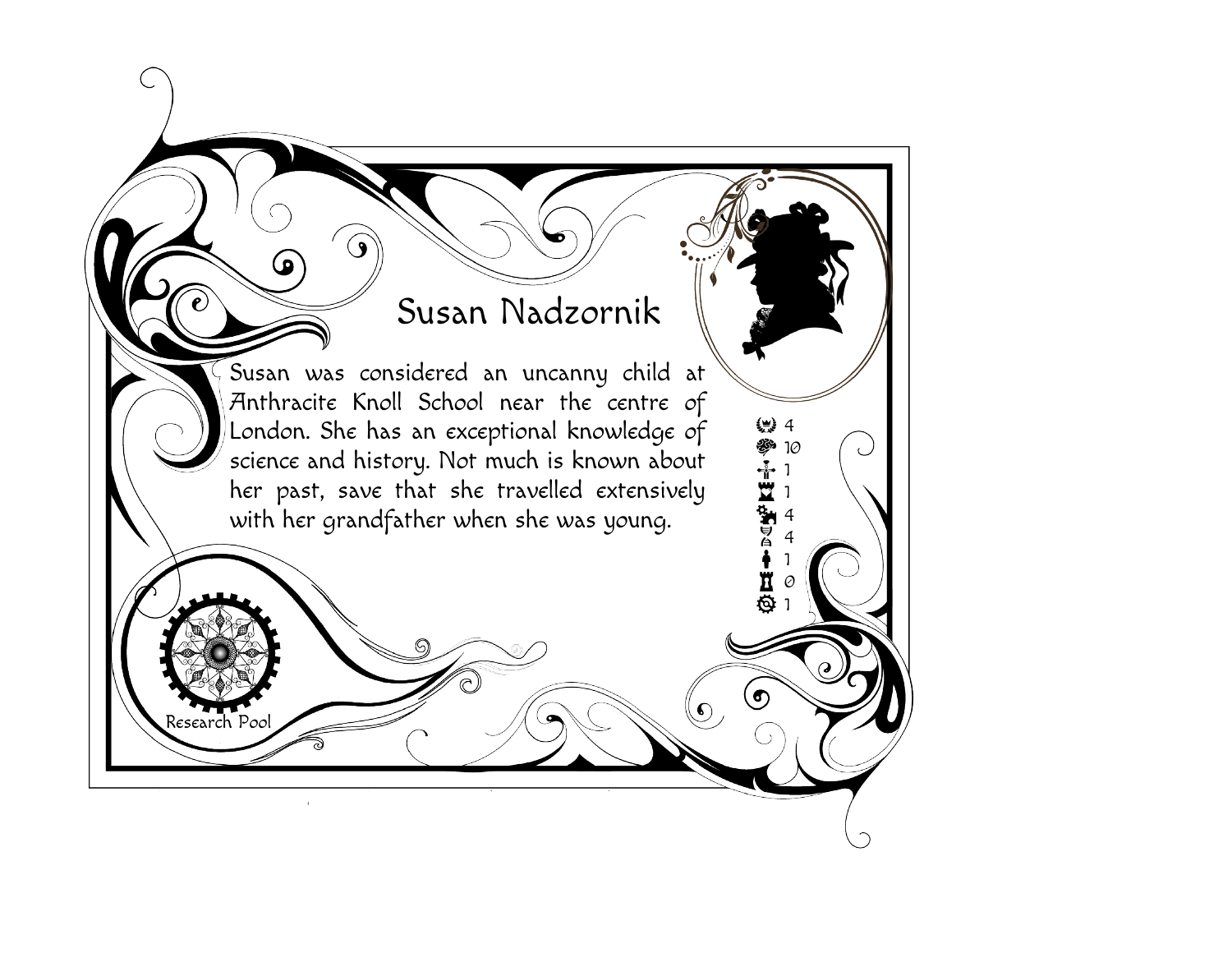